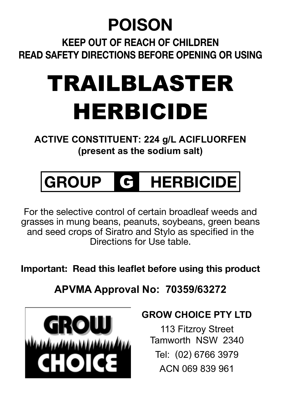### **POISON**

**Keep out of reach of children Read safety directions before opening or using**

## TRAILBLASTER HERBICIDE

**ACTIVE CONSTITUENT: 224 g/L ACIFLUORFEN (present as the sodium salt)**

## **GROUP** G **HERBICIDE**

For the selective control of certain broadleaf weeds and grasses in mung beans, peanuts, soybeans, green beans and seed crops of Siratro and Stylo as specified in the Directions for Use table.

**Important: Read this leaflet before using this product**

**APVMA Approval No: 70359/63272**



#### **GROW CHOICE PTY LTD**

113 Fitzroy Street Tamworth NSW 2340 Tel: (02) 6766 3979 ACN 069 839 961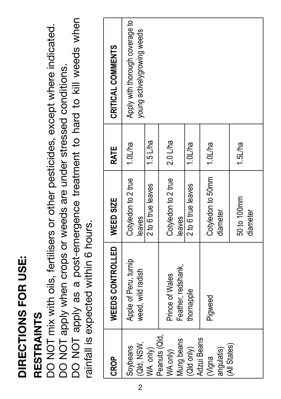## **DIRECTIONS FOR USE:**  DIRECTIONS FOR USE:

## **RESTRAINTS RESTRAINTS**

DO NOT apply as a post-emergence treatment to hard to kill weeds when DO NOT apply as a post-emergence treatment to hard to kill weeds when DO NOT mix with oils, fertilisers or other pesticides, except where indicated. DO NOT mix with oils, fertilisers or other pesticides, except where indicated. DO NOT apply when crops or weeds are under stressed conditions. DO NOT apply when crops or weeds are under stressed conditions. rainfall is expected within 6 hours. rainfall is expected within 6 hours.

| <b>CROP</b>                             | WEEDS CONTROLLED                           | WEED SIZE                     | RATE       | CRITICAL COMMENTS                                              |
|-----------------------------------------|--------------------------------------------|-------------------------------|------------|----------------------------------------------------------------|
| (Qld, NSW,<br>Soybeans                  | Apple of Peru, turnip<br>weed, wild radish | Cotyledon to 2 true<br>eaves  | 1.0L/ha    | Apply with thorough coverage to<br>young activelygrowing weeds |
| WA only)                                |                                            | 2 to 6 true leaves            | $1.5$ L/ha |                                                                |
| Peanuts (Qld,<br>Mung beans<br>WA only) | Feather, redshank,<br>Prince of Wales      | Cotyledon to 2 true<br>leaves | $2.0$ L/ha |                                                                |
| (Qld only)                              | thornapple                                 | 2 to 6 true leaves            | 1.0L/ha    |                                                                |
| Adzui Beans<br>angulatis)<br>(Vigna     | Pigweed                                    | Cotyledon to 50mm<br>diameter | $1.0$ L/ha |                                                                |
| (All States)                            |                                            | 50 to 100mm<br>diameter       | 1.5L/ha    |                                                                |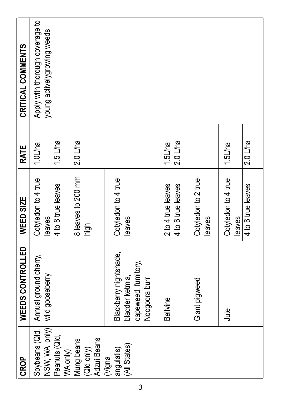| CRITICAL COMMENTS | Apply with thorough coverage to<br>young activelygrowing weeds |                           |                                         |                                                                                   |                                          |                               |                               |                    |
|-------------------|----------------------------------------------------------------|---------------------------|-----------------------------------------|-----------------------------------------------------------------------------------|------------------------------------------|-------------------------------|-------------------------------|--------------------|
| RATE              | 1.0L/ha                                                        | $1.5$ L/ha                | $2.0$ L/ha                              |                                                                                   | $2.0$ L/ha<br>1.5L/ha                    |                               | 1.5L/ha                       | $2.0$ L/ha         |
| WEED SIZE         | Cotyledon to 4 true<br>eaves                                   | 4 to 8 true leaves        | 8 leaves to 200 mm<br>high              | Cotyledon to 4 true<br>leaves                                                     | 4 to 6 true leaves<br>2 to 4 true leaves | Cotyledon to 2 true<br>leaves | Cotyledon to 4 true<br>leaves | 4 to 6 true leaves |
| WEEDS CONTROLLED  | Annual ground cherry,<br>wild gooseberry                       |                           |                                         | Blackberry nightshade,<br>capeweed, fumitory,<br>bladder ketmia,<br>Noogoora burr | <b>Bellvine</b>                          | Giant pigweed                 | Jute                          |                    |
| <b>CROP</b>       | NSW, WA only)<br>Soybeans (Qld,                                | Peanuts (Qld,<br>WA only) | Adzui Beans<br>Mung beans<br>(Qld only) | (All States)<br>angulatis)<br>(Vigna                                              |                                          |                               |                               |                    |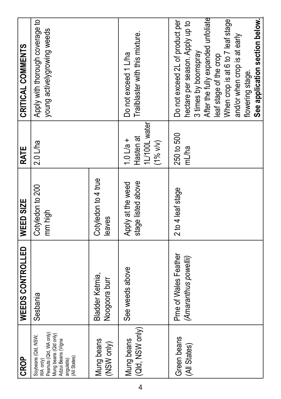| <b>CROP</b>                                                                                                                            | <b>WEEDS CONTROLLED</b>                       | <b>WEED SIZE</b>                        | RATE                                                             | CRITICAL COMMENTS                                                                                                                                                                                                                                                                     |
|----------------------------------------------------------------------------------------------------------------------------------------|-----------------------------------------------|-----------------------------------------|------------------------------------------------------------------|---------------------------------------------------------------------------------------------------------------------------------------------------------------------------------------------------------------------------------------------------------------------------------------|
| Peanuts (Qld, WA only)<br>Mung beans (Qld only)<br>Soybeans (Qld, NSW,<br>Adzui Beans (Vigna<br>(All States)<br>angulatis)<br>WA only) | Sesbania                                      | Cotyledon to 200<br>mm high             | $2.0$ L/ha                                                       | Apply with thorough coverage to<br>young activelygrowing weeds                                                                                                                                                                                                                        |
| Mung beans<br>(NSW only)                                                                                                               | Bladder Ketmia,<br>Noogoora burr              | Cotyledon to 4 true<br>eaves            |                                                                  |                                                                                                                                                                                                                                                                                       |
| (Qld, NSW only)<br>Mung beans                                                                                                          | See weeds above                               | stage listed above<br>Apply at the weed | 1L/100L water<br>Hasten at<br>$1.0 \text{ L/a} +$<br>$(1\%$ v/v) | Trailblaster with this mixture.<br>Do not exceed 1 L/ha                                                                                                                                                                                                                               |
| Green beans<br>(All States)                                                                                                            | Pme of Wales Feather<br>(Amaranthus powellii) | 2 to 4 leaf stage                       | 250 to 500<br>mL/ha                                              | After the fully expanded unfoliate<br>See application section below.<br>When crop is at 6 to 7 leaf stage<br>Do not exceed 2L of product per<br>hectare per season. Apply up to<br>and/or when crop is at early<br>3 times by boomspray<br>leaf stage of the crop<br>flowering stage. |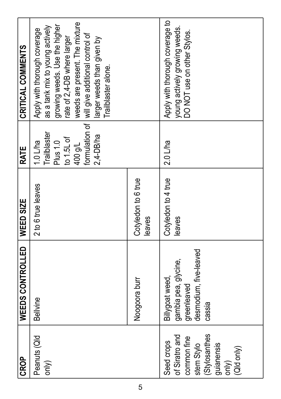| CRITICAL COMMENTS            | weeds are present. The mixture<br>growing weeds. Use the higher<br>as a tank mix to young actively<br>Apply with thorough coverage<br>formulation of   will give additional control of<br>rate of 2,4-DB where larger<br>larger weeds than given by<br>Trailblaster alone. |                              | Apply with thorough coverage to<br>young actively growing weeds.<br>OO NOT use on other Stylos.                 |
|------------------------------|----------------------------------------------------------------------------------------------------------------------------------------------------------------------------------------------------------------------------------------------------------------------------|------------------------------|-----------------------------------------------------------------------------------------------------------------|
| RATE                         | Trailblaster<br>2,4-DB/ha<br>$to 1.5L$ of<br>Plus 1.0<br>$1.0$ L/ha<br>400 g/L                                                                                                                                                                                             |                              | $2.0$ L/ha                                                                                                      |
|                              | 2 to 6 true leaves                                                                                                                                                                                                                                                         | Cotyledon to 6 true<br>eaves | Cotyledon to 4 true<br>eaves                                                                                    |
| WEEDS CONTROLLED   WEED SIZE | <b>Bellvine</b>                                                                                                                                                                                                                                                            | Noogoora burr                | desmodium, five-leaved<br>gambia pea, glycine,<br>Billygoat weed,<br>greenleaved<br>cassia                      |
| <b>CROP</b>                  | Peanuts (Qld<br>only)                                                                                                                                                                                                                                                      |                              | (Stylosanthes<br>of Siratro and<br>common fine<br>Seed crops<br>guianensis<br>stem Stylo<br>(Qld only)<br>only) |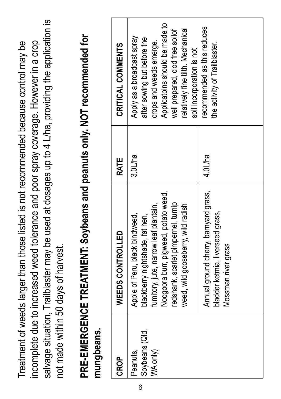salvage situation, Trailblaster may be used at dosages up to 4 L/ha, providing the application is salvage situation, Trailblaster may be used at dosages up to 4 L/ha, providing the application is incomplete due to increased weed tolerance and poor spray coverage. However in a crop Treatment of weeds larger than those listed is not recommended because control may be incomplete due to increased weed tolerance and poor spray coverage. However in a crop Treatment of weeds larger than those listed is not recommended because control may be not made within 50 days of harvest. not made within 50 days of harvest.

# PRE-EMERGENCE TREATMENT: Soybeans and peanuts only. NOT recommended for **PRE-EMERGENCE TREATMENT: Soybeans and peanuts only. NOT recommended for**  mungbeans. **mungbeans.**

| <b>OROP</b>                            | WEEDS CONTROLLED                                                                                                                                                                                                               | <b>RATE</b> | CRITICAL COMMENTS                                                                                                                                                                                                           |
|----------------------------------------|--------------------------------------------------------------------------------------------------------------------------------------------------------------------------------------------------------------------------------|-------------|-----------------------------------------------------------------------------------------------------------------------------------------------------------------------------------------------------------------------------|
| Soybeans (Qld,<br>WA only)<br>Peanuts, | Noogoora burr, pigweed, potato weed,<br>redshank, scarlet pimpernel, tumip<br>weed, wild gooseberry, wild radish<br>fumitory, jute, narrow leaf plantain,<br>Apple of Peru, black bindweed,<br>blackberry nightshade, fat hen, | 3.0L/ha     | Applicatoins should be made to<br>relatively fine tilth. Mechanical<br>well prepared, clod free soilof<br>Apply as a broadcast spray<br>after sowing but before the<br>crops and weeds emerge.<br>soil incorporation is not |
|                                        | Annual ground cherry, barnyard grass,<br>bladder ketmia, liverseed grass,<br>Mossman river grass                                                                                                                               | 4.0L/ha     | recommended as this reduces<br>the activity of Trailblaster.                                                                                                                                                                |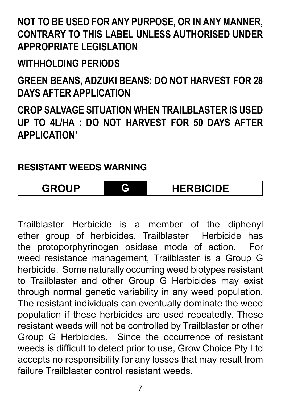#### **NOT TO BE USED FOR ANY PURPOSE, OR IN ANY MANNER, CONTRARY TO THIS LABEL UNLESS AUTHORISED UNDER APPROPRIATE LEGISLATION**

#### **WITHHOLDING PERIODS**

**GREEN BEANS, ADZUKI BEANS: DO NOT HARVEST FOR 28 DAYS AFTER APPLICATION** 

**CROP SALVAGE SITUATION WHEN TRAILBLASTER IS USED UP TO 4L/HA : DO NOT HARVEST FOR 50 DAYS AFTER APPLICATION'**

#### **RESISTANT WEEDS WARNING**

**GROUP G HERBICIDE**

Trailblaster Herbicide is a member of the diphenyl ether group of herbicides. Trailblaster Herbicide has the protoporphyrinogen osidase mode of action. For weed resistance management, Trailblaster is a Group G herbicide. Some naturally occurring weed biotypes resistant to Trailblaster and other Group G Herbicides may exist through normal genetic variability in any weed population. The resistant individuals can eventually dominate the weed population if these herbicides are used repeatedly. These resistant weeds will not be controlled by Trailblaster or other Group G Herbicides. Since the occurrence of resistant weeds is difficult to detect prior to use, Grow Choice Pty Ltd accepts no responsibility for any losses that may result from failure Trailblaster control resistant weeds.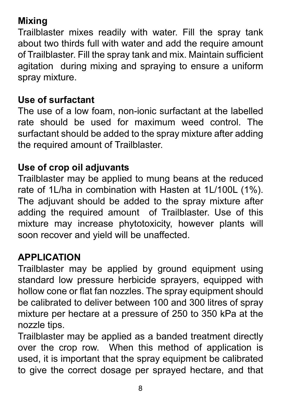#### **Mixing**

Trailblaster mixes readily with water. Fill the spray tank about two thirds full with water and add the require amount of Trailblaster. Fill the spray tank and mix. Maintain sufficient agitation during mixing and spraying to ensure a uniform spray mixture.

#### **Use of surfactant**

The use of a low foam, non-ionic surfactant at the labelled rate should be used for maximum weed control. The surfactant should be added to the spray mixture after adding the required amount of Trailblaster.

#### **Use of crop oil adjuvants**

Trailblaster may be applied to mung beans at the reduced rate of 1L/ha in combination with Hasten at 1L/100L (1%). The adjuvant should be added to the spray mixture after adding the required amount of Trailblaster. Use of this mixture may increase phytotoxicity, however plants will soon recover and yield will be unaffected.

#### **APPLICATION**

Trailblaster may be applied by ground equipment using standard low pressure herbicide sprayers, equipped with hollow cone or flat fan nozzles. The spray equipment should be calibrated to deliver between 100 and 300 litres of spray mixture per hectare at a pressure of 250 to 350 kPa at the nozzle tips.

Trailblaster may be applied as a banded treatment directly over the crop row. When this method of application is used, it is important that the spray equipment be calibrated to give the correct dosage per sprayed hectare, and that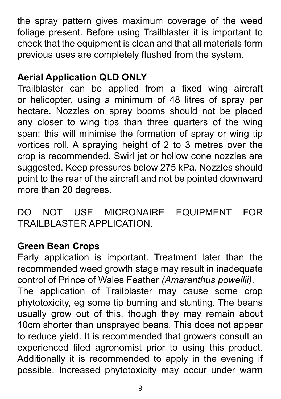the spray pattern gives maximum coverage of the weed foliage present. Before using Trailblaster it is important to check that the equipment is clean and that all materials form previous uses are completely flushed from the system.

#### **Aerial Application QLD ONLY**

Trailblaster can be applied from a fixed wing aircraft or helicopter, using a minimum of 48 litres of spray per hectare. Nozzles on spray booms should not be placed any closer to wing tips than three quarters of the wing span; this will minimise the formation of spray or wing tip vortices roll. A spraying height of 2 to 3 metres over the crop is recommended. Swirl jet or hollow cone nozzles are suggested. Keep pressures below 275 kPa. Nozzles should point to the rear of the aircraft and not be pointed downward more than 20 degrees.

DO NOT USE MICRONAIRE EQUIPMENT FOR TRAILBLASTER APPLICATION.

#### **Green Bean Crops**

Early application is important. Treatment later than the recommended weed growth stage may result in inadequate control of Prince of Wales Feather *(Amaranthus powellii)*. The application of Trailblaster may cause some crop phytotoxicity, eg some tip burning and stunting. The beans usually grow out of this, though they may remain about 10cm shorter than unsprayed beans. This does not appear to reduce yield. It is recommended that growers consult an experienced filed agronomist prior to using this product. Additionally it is recommended to apply in the evening if possible. Increased phytotoxicity may occur under warm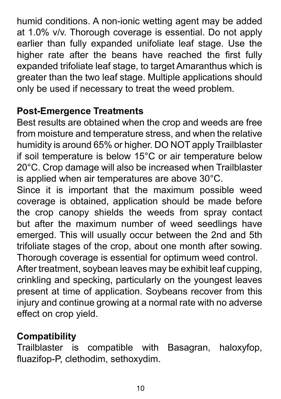humid conditions. A non-ionic wetting agent may be added at 1.0% v/v. Thorough coverage is essential. Do not apply earlier than fully expanded unifoliate leaf stage. Use the higher rate after the beans have reached the first fully expanded trifoliate leaf stage, to target Amaranthus which is greater than the two leaf stage. Multiple applications should only be used if necessary to treat the weed problem.

#### **Post-Emergence Treatments**

Best results are obtained when the crop and weeds are free from moisture and temperature stress, and when the relative humidity is around 65% or higher. DO NOT apply Trailblaster if soil temperature is below 15°C or air temperature below 20°C. Crop damage will also be increased when Trailblaster is applied when air temperatures are above 30°C.

Since it is important that the maximum possible weed coverage is obtained, application should be made before the crop canopy shields the weeds from spray contact but after the maximum number of weed seedlings have emerged. This will usually occur between the 2nd and 5th trifoliate stages of the crop, about one month after sowing. Thorough coverage is essential for optimum weed control. After treatment, soybean leaves may be exhibit leaf cupping, crinkling and specking, particularly on the youngest leaves present at time of application. Soybeans recover from this injury and continue growing at a normal rate with no adverse effect on crop yield.

**Compatibility** compatible with Basagran, haloxyfop, fluazifop-P, clethodim, sethoxydim.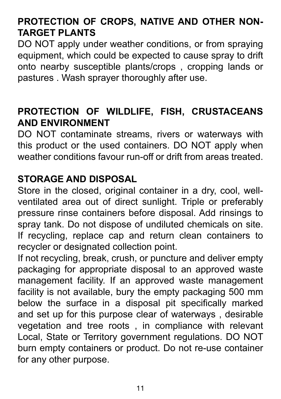#### **PROTECTION OF CROPS, NATIVE AND OTHER NON-TARGET PLANTS**

DO NOT apply under weather conditions, or from spraying equipment, which could be expected to cause spray to drift onto nearby susceptible plants/crops , cropping lands or pastures . Wash sprayer thoroughly after use.

#### **PROTECTION OF WILDLIFE, FISH, CRUSTACEANS AND ENVIRONMENT**

DO NOT contaminate streams, rivers or waterways with this product or the used containers. DO NOT apply when weather conditions favour run-off or drift from areas treated.

#### **STORAGE AND DISPOSAL**

Store in the closed, original container in a dry, cool, wellventilated area out of direct sunlight. Triple or preferably pressure rinse containers before disposal. Add rinsings to spray tank. Do not dispose of undiluted chemicals on site. If recycling, replace cap and return clean containers to recycler or designated collection point.

If not recycling, break, crush, or puncture and deliver empty packaging for appropriate disposal to an approved waste management facility. If an approved waste management facility is not available, bury the empty packaging 500 mm below the surface in a disposal pit specifically marked and set up for this purpose clear of waterways , desirable vegetation and tree roots , in compliance with relevant Local, State or Territory government regulations. DO NOT burn empty containers or product. Do not re-use container for any other purpose.